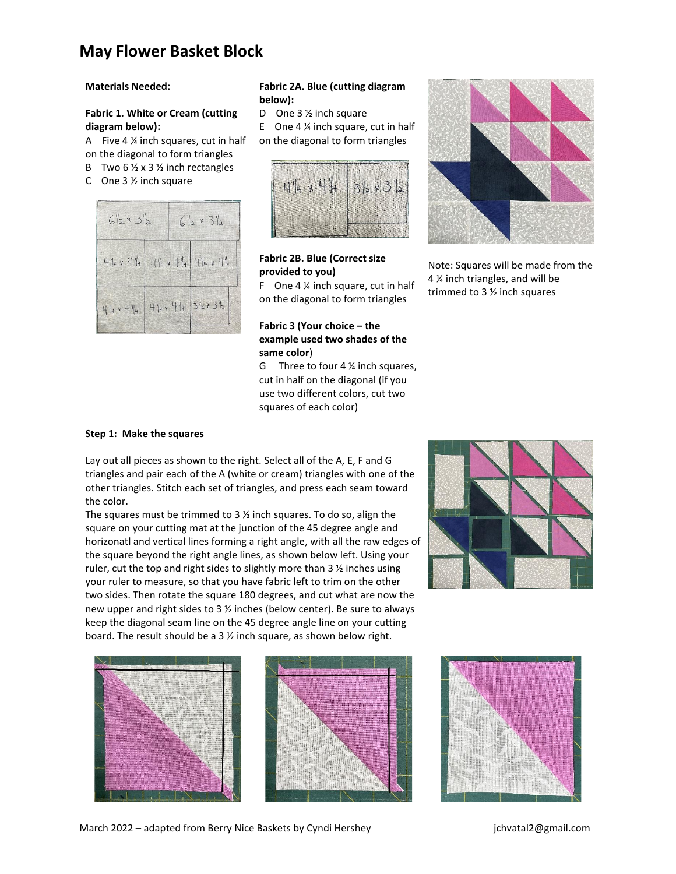## **May Flower Basket Block**

#### **Materials Needed:**

## **Fabric 1. White or Cream (cutting diagram below):**

A Five 4 ¼ inch squares, cut in half on the diagonal to form triangles

- B Two 6  $\frac{1}{2}$  x 3  $\frac{1}{2}$  inch rectangles
- C One 3 ½ inch square



### **Fabric 2A. Blue (cutting diagram below):**

D One 3 1/<sub>2</sub> inch square

E One  $4\frac{1}{4}$  inch square, cut in half on the diagonal to form triangles



## **Fabric 2B. Blue (Correct size provided to you)**

F One 4 ¼ inch square, cut in half on the diagonal to form triangles

## **Fabric 3 (Your choice – the example used two shades of the same color**)

G Three to four 4 ¼ inch squares, cut in half on the diagonal (if you use two different colors, cut two squares of each color)



Note: Squares will be made from the 4 ¼ inch triangles, and will be trimmed to 3 ½ inch squares

#### **Step 1: Make the squares**

Lay out all pieces as shown to the right. Select all of the A, E, F and G triangles and pair each of the A (white or cream) triangles with one of the other triangles. Stitch each set of triangles, and press each seam toward the color.

The squares must be trimmed to 3  $\frac{1}{2}$  inch squares. To do so, align the square on your cutting mat at the junction of the 45 degree angle and horizonatl and vertical lines forming a right angle, with all the raw edges of the square beyond the right angle lines, as shown below left. Using your ruler, cut the top and right sides to slightly more than 3 ½ inches using your ruler to measure, so that you have fabric left to trim on the other two sides. Then rotate the square 180 degrees, and cut what are now the new upper and right sides to 3 ½ inches (below center). Be sure to always keep the diagonal seam line on the 45 degree angle line on your cutting board. The result should be a 3 ½ inch square, as shown below right.









March 2022 – adapted from Berry Nice Baskets by Cyndi Hershey Franch March 2022 – adapted from Berry Nice Baskets by Cyndi Hershey